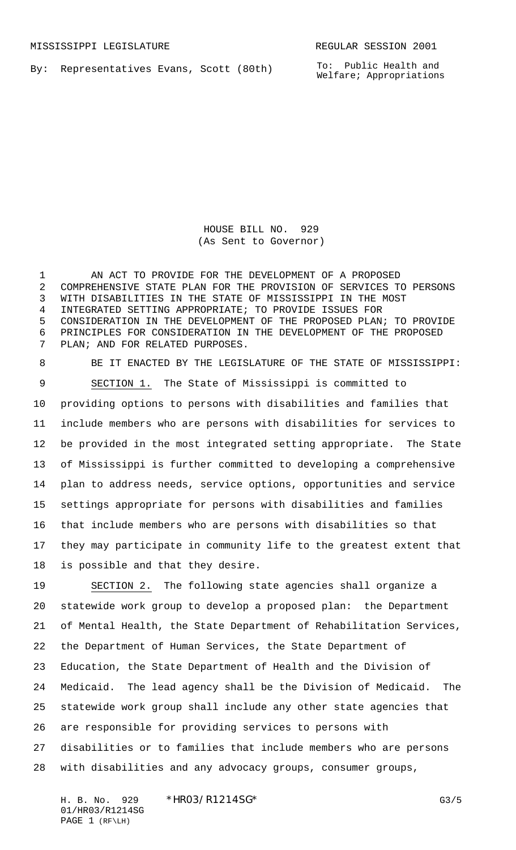By: Representatives Evans, Scott (80th)

To: Public Health and Welfare; Appropriations

HOUSE BILL NO. 929 (As Sent to Governor)

1 AN ACT TO PROVIDE FOR THE DEVELOPMENT OF A PROPOSED COMPREHENSIVE STATE PLAN FOR THE PROVISION OF SERVICES TO PERSONS WITH DISABILITIES IN THE STATE OF MISSISSIPPI IN THE MOST INTEGRATED SETTING APPROPRIATE; TO PROVIDE ISSUES FOR CONSIDERATION IN THE DEVELOPMENT OF THE PROPOSED PLAN; TO PROVIDE PRINCIPLES FOR CONSIDERATION IN THE DEVELOPMENT OF THE PROPOSED PLAN; AND FOR RELATED PURPOSES.

 BE IT ENACTED BY THE LEGISLATURE OF THE STATE OF MISSISSIPPI: SECTION 1. The State of Mississippi is committed to providing options to persons with disabilities and families that include members who are persons with disabilities for services to be provided in the most integrated setting appropriate. The State of Mississippi is further committed to developing a comprehensive plan to address needs, service options, opportunities and service settings appropriate for persons with disabilities and families that include members who are persons with disabilities so that they may participate in community life to the greatest extent that is possible and that they desire.

 SECTION 2. The following state agencies shall organize a statewide work group to develop a proposed plan: the Department of Mental Health, the State Department of Rehabilitation Services, the Department of Human Services, the State Department of Education, the State Department of Health and the Division of Medicaid. The lead agency shall be the Division of Medicaid. The statewide work group shall include any other state agencies that are responsible for providing services to persons with disabilities or to families that include members who are persons with disabilities and any advocacy groups, consumer groups,

H. B. No. 929 \* HRO3/R1214SG\* 63/5 01/HR03/R1214SG PAGE 1 (RF\LH)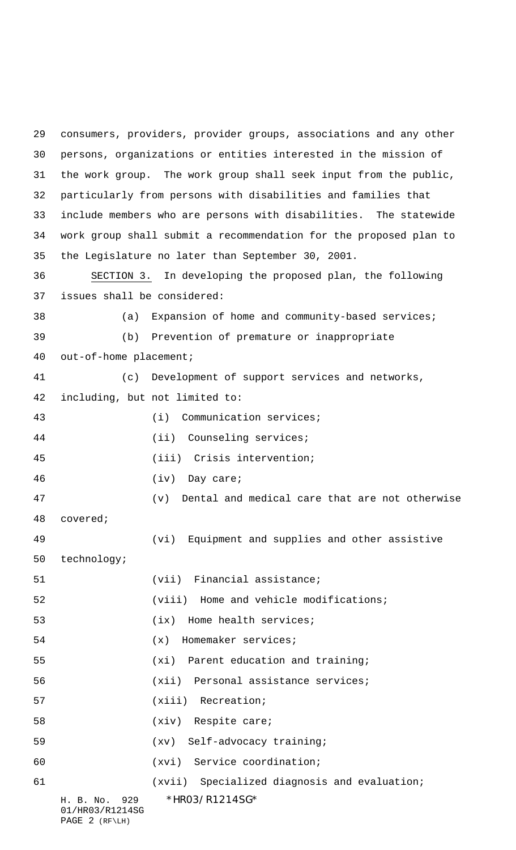H. B. No. 929 \*HR03/R1214SG\* 01/HR03/R1214SG consumers, providers, provider groups, associations and any other persons, organizations or entities interested in the mission of the work group. The work group shall seek input from the public, particularly from persons with disabilities and families that include members who are persons with disabilities. The statewide work group shall submit a recommendation for the proposed plan to the Legislature no later than September 30, 2001. SECTION 3. In developing the proposed plan, the following issues shall be considered: (a) Expansion of home and community-based services; (b) Prevention of premature or inappropriate out-of-home placement; (c) Development of support services and networks, including, but not limited to: (i) Communication services; 44 (ii) Counseling services; (iii) Crisis intervention; (iv) Day care; (v) Dental and medical care that are not otherwise covered; (vi) Equipment and supplies and other assistive technology; 51 (vii) Financial assistance; (viii) Home and vehicle modifications; 53 (ix) Home health services; (x) Homemaker services; (xi) Parent education and training; (xii) Personal assistance services; (xiii) Recreation; (xiv) Respite care; (xv) Self-advocacy training; (xvi) Service coordination; (xvii) Specialized diagnosis and evaluation;

PAGE 2 (RF\LH)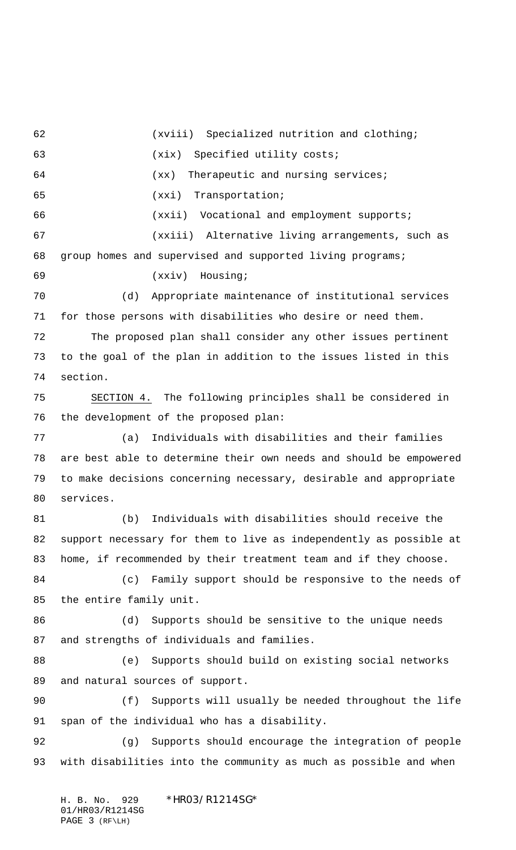(xviii) Specialized nutrition and clothing; (xix) Specified utility costs; (xx) Therapeutic and nursing services; (xxi) Transportation; (xxii) Vocational and employment supports; (xxiii) Alternative living arrangements, such as group homes and supervised and supported living programs; (xxiv) Housing; (d) Appropriate maintenance of institutional services for those persons with disabilities who desire or need them. The proposed plan shall consider any other issues pertinent to the goal of the plan in addition to the issues listed in this section. SECTION 4. The following principles shall be considered in the development of the proposed plan: (a) Individuals with disabilities and their families are best able to determine their own needs and should be empowered to make decisions concerning necessary, desirable and appropriate services. (b) Individuals with disabilities should receive the support necessary for them to live as independently as possible at home, if recommended by their treatment team and if they choose. (c) Family support should be responsive to the needs of the entire family unit. (d) Supports should be sensitive to the unique needs and strengths of individuals and families. (e) Supports should build on existing social networks and natural sources of support. (f) Supports will usually be needed throughout the life span of the individual who has a disability. (g) Supports should encourage the integration of people with disabilities into the community as much as possible and when

H. B. No. 929 \*HR03/R1214SG\* 01/HR03/R1214SG PAGE 3 (RF\LH)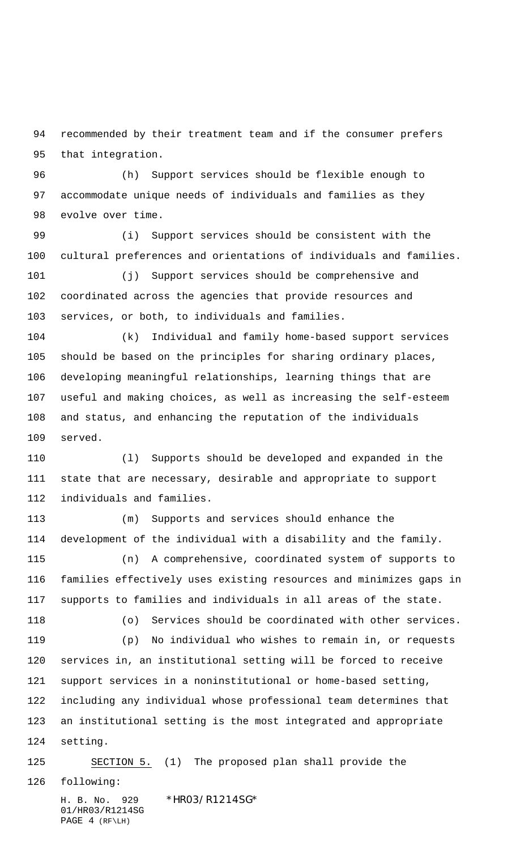recommended by their treatment team and if the consumer prefers that integration.

 (h) Support services should be flexible enough to accommodate unique needs of individuals and families as they evolve over time.

 (i) Support services should be consistent with the cultural preferences and orientations of individuals and families.

 (j) Support services should be comprehensive and coordinated across the agencies that provide resources and services, or both, to individuals and families.

 (k) Individual and family home-based support services should be based on the principles for sharing ordinary places, developing meaningful relationships, learning things that are useful and making choices, as well as increasing the self-esteem and status, and enhancing the reputation of the individuals served.

 (l) Supports should be developed and expanded in the state that are necessary, desirable and appropriate to support individuals and families.

 (m) Supports and services should enhance the development of the individual with a disability and the family.

 (n) A comprehensive, coordinated system of supports to families effectively uses existing resources and minimizes gaps in supports to families and individuals in all areas of the state.

(o) Services should be coordinated with other services.

 (p) No individual who wishes to remain in, or requests services in, an institutional setting will be forced to receive support services in a noninstitutional or home-based setting, including any individual whose professional team determines that an institutional setting is the most integrated and appropriate setting.

SECTION 5. (1) The proposed plan shall provide the

following:

H. B. No. 929 \*HR03/R1214SG\* 01/HR03/R1214SG PAGE 4 (RF\LH)